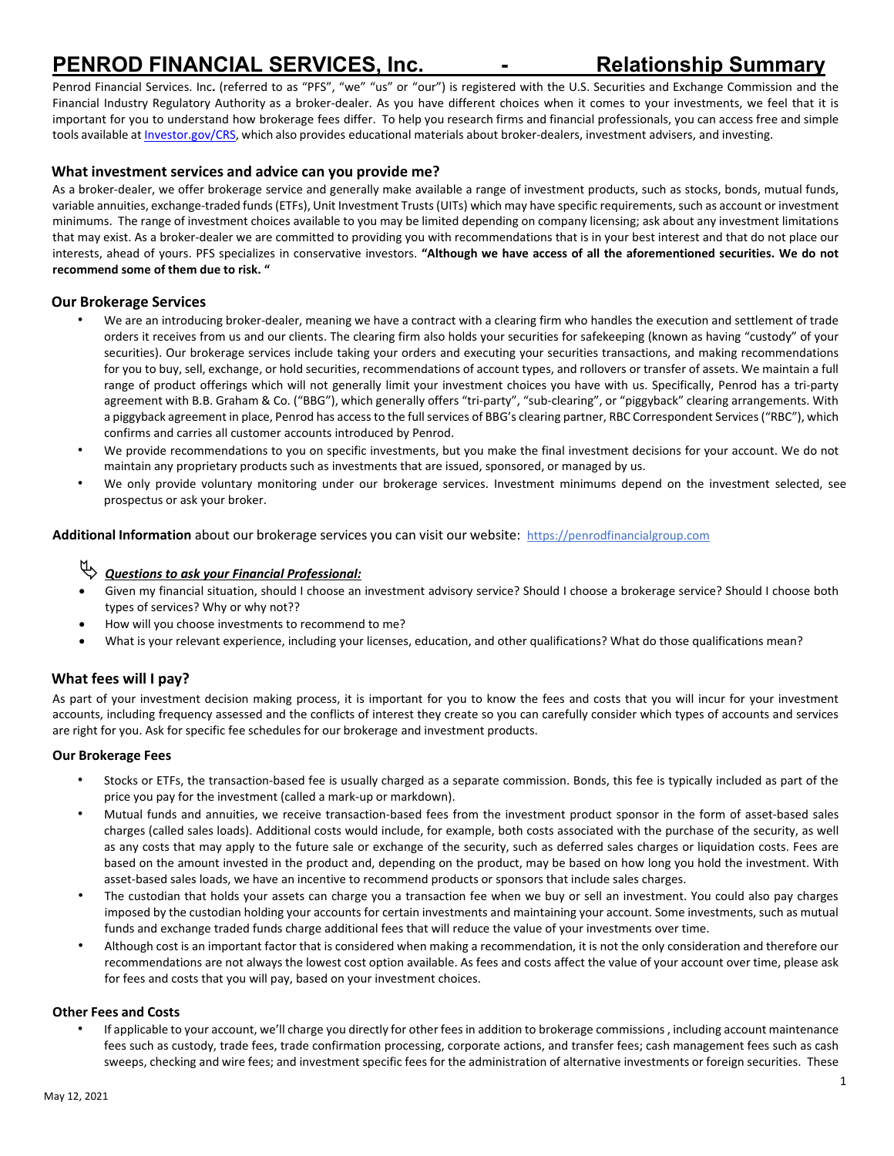# **PENROD FINANCIAL SERVICES, Inc. - Relationship Summary**

Penrod Financial Services. Inc**.** (referred to as "PFS", "we" "us" or "our") is registered with the U.S. Securities and Exchange Commission and the Financial Industry Regulatory Authority as a broker-dealer. As you have different choices when it comes to your investments, we feel that it is important for you to understand how brokerage fees differ. To help you research firms and financial professionals, you can access free and simple tools available at **Investor.gov/CRS**, which also provides educational materials about broker-dealers, investment advisers, and investing.

#### **What investment services and advice can you provide me?**

As a broker-dealer, we offer brokerage service and generally make available a range of investment products, such as stocks, bonds, mutual funds, variable annuities, exchange-traded funds (ETFs), Unit Investment Trusts (UITs) which may have specific requirements, such as account or investment minimums. The range of investment choices available to you may be limited depending on company licensing; ask about any investment limitations that may exist. As a broker-dealer we are committed to providing you with recommendations that is in your best interest and that do not place our interests, ahead of yours. PFS specializes in conservative investors. **"Although we have access of all the aforementioned securities. We do not recommend some of them due to risk. "**

#### **Our Brokerage Services**

- We are an introducing broker-dealer, meaning we have a contract with a clearing firm who handles the execution and settlement of trade orders it receives from us and our clients. The clearing firm also holds your securities for safekeeping (known as having "custody" of your securities). Our brokerage services include taking your orders and executing your securities transactions, and making recommendations for you to buy, sell, exchange, or hold securities, recommendations of account types, and rollovers or transfer of assets. We maintain a full range of product offerings which will not generally limit your investment choices you have with us. Specifically, Penrod has a tri-party agreement with B.B. Graham & Co. ("BBG"), which generally offers "tri-party", "sub-clearing", or "piggyback" clearing arrangements. With a piggyback agreement in place, Penrod has access to the full services of BBG's clearing partner, RBC Correspondent Services ("RBC"), which confirms and carries all customer accounts introduced by Penrod.
- We provide recommendations to you on specific investments, but you make the final investment decisions for your account. We do not maintain any proprietary products such as investments that are issued, sponsored, or managed by us.
- We only provide voluntary monitoring under our brokerage services. Investment minimums depend on the investment selected, see prospectus or ask your broker.

**Additional Information** about our brokerage services you can visit our website: [https://penrodfinancialgroup.com](https://penrodfinancialgroup.com/)

# *Questions to ask your Financial Professional:*

- Given my financial situation, should I choose an investment advisory service? Should I choose a brokerage service? Should I choose both types of services? Why or why not??
- How will you choose investments to recommend to me?
- What is your relevant experience, including your licenses, education, and other qualifications? What do those qualifications mean?

### **What fees will I pay?**

As part of your investment decision making process, it is important for you to know the fees and costs that you will incur for your investment accounts, including frequency assessed and the conflicts of interest they create so you can carefully consider which types of accounts and services are right for you. Ask for specific fee schedules for our brokerage and investment products.

#### **Our Brokerage Fees**

- Stocks or ETFs, the transaction-based fee is usually charged as a separate commission. Bonds, this fee is typically included as part of the price you pay for the investment (called a mark-up or markdown).
- Mutual funds and annuities, we receive transaction-based fees from the investment product sponsor in the form of asset-based sales charges (called sales loads). Additional costs would include, for example, both costs associated with the purchase of the security, as well as any costs that may apply to the future sale or exchange of the security, such as deferred sales charges or liquidation costs. Fees are based on the amount invested in the product and, depending on the product, may be based on how long you hold the investment. With asset-based sales loads, we have an incentive to recommend products or sponsors that include sales charges.
- The custodian that holds your assets can charge you a transaction fee when we buy or sell an investment. You could also pay charges imposed by the custodian holding your accounts for certain investments and maintaining your account. Some investments, such as mutual funds and exchange traded funds charge additional fees that will reduce the value of your investments over time.
- Although cost is an important factor that is considered when making a recommendation, it is not the only consideration and therefore our recommendations are not always the lowest cost option available. As fees and costs affect the value of your account over time, please ask for fees and costs that you will pay, based on your investment choices.

#### **Other Fees and Costs**

If applicable to your account, we'll charge you directly for other fees in addition to brokerage commissions, including account maintenance fees such as custody, trade fees, trade confirmation processing, corporate actions, and transfer fees; cash management fees such as cash sweeps, checking and wire fees; and investment specific fees for the administration of alternative investments or foreign securities. These